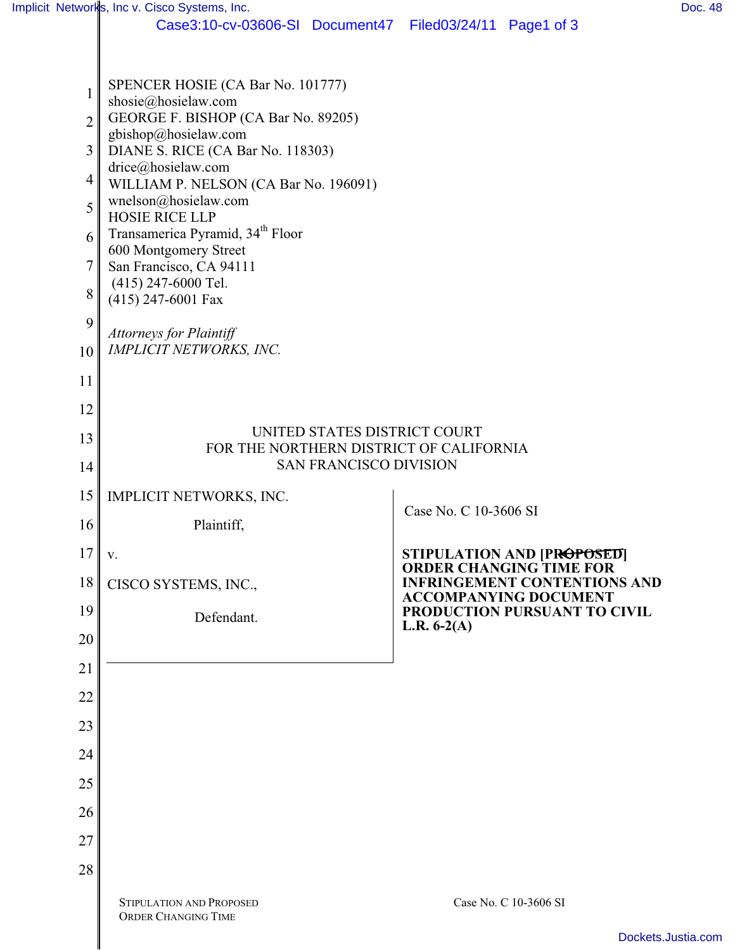| Case3:10-cv-03606-SI Document47 Filed03/24/11 Page1 of 3 |  |  |  |
|----------------------------------------------------------|--|--|--|
|----------------------------------------------------------|--|--|--|

| 1<br>$\overline{2}$<br>3<br>$\overline{4}$<br>5<br>6<br>$\tau$<br>8 | SPENCER HOSIE (CA Bar No. 101777)<br>shosie@hosielaw.com<br>GEORGE F. BISHOP (CA Bar No. 89205)<br>gbishop@hosielaw.com<br>DIANE S. RICE (CA Bar No. 118303)<br>drice@hosielaw.com<br>WILLIAM P. NELSON (CA Bar No. 196091)<br>wnelson@hosielaw.com<br><b>HOSIE RICE LLP</b><br>Transamerica Pyramid, 34 <sup>th</sup> Floor<br>600 Montgomery Street<br>San Francisco, CA 94111<br>(415) 247-6000 Tel.<br>(415) 247-6001 Fax |                                                                                              |  |
|---------------------------------------------------------------------|-------------------------------------------------------------------------------------------------------------------------------------------------------------------------------------------------------------------------------------------------------------------------------------------------------------------------------------------------------------------------------------------------------------------------------|----------------------------------------------------------------------------------------------|--|
| 9<br>10                                                             | <b>Attorneys for Plaintiff</b><br><b>IMPLICIT NETWORKS, INC.</b>                                                                                                                                                                                                                                                                                                                                                              |                                                                                              |  |
| 11                                                                  |                                                                                                                                                                                                                                                                                                                                                                                                                               |                                                                                              |  |
| 12                                                                  |                                                                                                                                                                                                                                                                                                                                                                                                                               |                                                                                              |  |
| 13<br>14                                                            | UNITED STATES DISTRICT COURT<br>FOR THE NORTHERN DISTRICT OF CALIFORNIA<br><b>SAN FRANCISCO DIVISION</b>                                                                                                                                                                                                                                                                                                                      |                                                                                              |  |
| 15                                                                  |                                                                                                                                                                                                                                                                                                                                                                                                                               |                                                                                              |  |
|                                                                     | IMPLICIT NETWORKS, INC.                                                                                                                                                                                                                                                                                                                                                                                                       | Case No. C 10-3606 SI                                                                        |  |
| 16                                                                  | Plaintiff,                                                                                                                                                                                                                                                                                                                                                                                                                    |                                                                                              |  |
| 17<br>18                                                            | V.<br>CISCO SYSTEMS, INC.,                                                                                                                                                                                                                                                                                                                                                                                                    | STIPULATION AND [PROPOSED]<br>ORDER CHANGING TIME FOR<br><b>INFRINGEMENT CONTENTIONS AND</b> |  |
| 19                                                                  | Defendant.                                                                                                                                                                                                                                                                                                                                                                                                                    | <b>ACCOMPANYING DOCUMENT</b><br>PRODUCTION PURSUANT TO CIVIL                                 |  |
| 20                                                                  |                                                                                                                                                                                                                                                                                                                                                                                                                               | L.R. $6-2(A)$                                                                                |  |
| 21                                                                  |                                                                                                                                                                                                                                                                                                                                                                                                                               |                                                                                              |  |
| 22                                                                  |                                                                                                                                                                                                                                                                                                                                                                                                                               |                                                                                              |  |
| 23                                                                  |                                                                                                                                                                                                                                                                                                                                                                                                                               |                                                                                              |  |
| 24                                                                  |                                                                                                                                                                                                                                                                                                                                                                                                                               |                                                                                              |  |
| 25                                                                  |                                                                                                                                                                                                                                                                                                                                                                                                                               |                                                                                              |  |
| 26                                                                  |                                                                                                                                                                                                                                                                                                                                                                                                                               |                                                                                              |  |
| 27                                                                  |                                                                                                                                                                                                                                                                                                                                                                                                                               |                                                                                              |  |
| 28                                                                  |                                                                                                                                                                                                                                                                                                                                                                                                                               |                                                                                              |  |
|                                                                     |                                                                                                                                                                                                                                                                                                                                                                                                                               |                                                                                              |  |
|                                                                     | <b>STIPULATION AND PROPOSED</b><br><b>ORDER CHANGING TIME</b>                                                                                                                                                                                                                                                                                                                                                                 | Case No. C 10-3606 SI                                                                        |  |
|                                                                     |                                                                                                                                                                                                                                                                                                                                                                                                                               | Dookoto lu                                                                                   |  |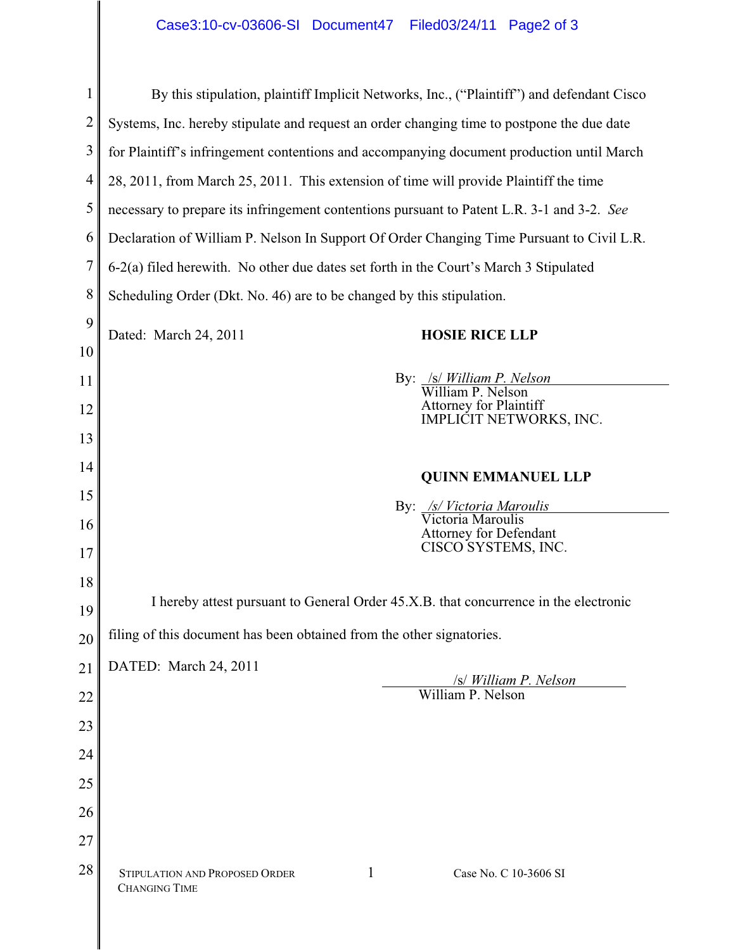## Case3:10-cv-03606-SI Document47 Filed03/24/11 Page2 of 3

| 1              | By this stipulation, plaintiff Implicit Networks, Inc., ("Plaintiff") and defendant Cisco  |  |  |
|----------------|--------------------------------------------------------------------------------------------|--|--|
| $\overline{c}$ | Systems, Inc. hereby stipulate and request an order changing time to postpone the due date |  |  |
| 3              | for Plaintiff's infringement contentions and accompanying document production until March  |  |  |
| 4              | 28, 2011, from March 25, 2011. This extension of time will provide Plaintiff the time      |  |  |
| 5              | necessary to prepare its infringement contentions pursuant to Patent L.R. 3-1 and 3-2. See |  |  |
| 6              | Declaration of William P. Nelson In Support Of Order Changing Time Pursuant to Civil L.R.  |  |  |
| 7              | 6-2(a) filed herewith. No other due dates set forth in the Court's March 3 Stipulated      |  |  |
| 8              | Scheduling Order (Dkt. No. 46) are to be changed by this stipulation.                      |  |  |
| 9              | Dated: March 24, 2011<br><b>HOSIE RICE LLP</b>                                             |  |  |
| 10             |                                                                                            |  |  |
| 11             | By: /s/ William P. Nelson<br>William P. Nelson                                             |  |  |
| 12             | <b>Attorney for Plaintiff</b><br>IMPLICIT NETWORKS, INC.                                   |  |  |
| 13             |                                                                                            |  |  |
| 14             | <b>QUINN EMMANUEL LLP</b>                                                                  |  |  |
| 15             | By: /s/ Victoria Maroulis                                                                  |  |  |
| 16             | Victoria Maroulis<br><b>Attorney for Defendant</b>                                         |  |  |
| 17             | CISCO SYSTEMS, INC.                                                                        |  |  |
| 18             |                                                                                            |  |  |
| 19             | I hereby attest pursuant to General Order 45.X.B. that concurrence in the electronic       |  |  |
| 20             | filing of this document has been obtained from the other signatories.                      |  |  |
|                |                                                                                            |  |  |
| 21             | DATED: March 24, 2011                                                                      |  |  |
| 22             | /s/ William P. Nelson<br>William P. Nelson                                                 |  |  |
| 23             |                                                                                            |  |  |
| 24             |                                                                                            |  |  |
| 25             |                                                                                            |  |  |
| 26             |                                                                                            |  |  |
| 27             |                                                                                            |  |  |